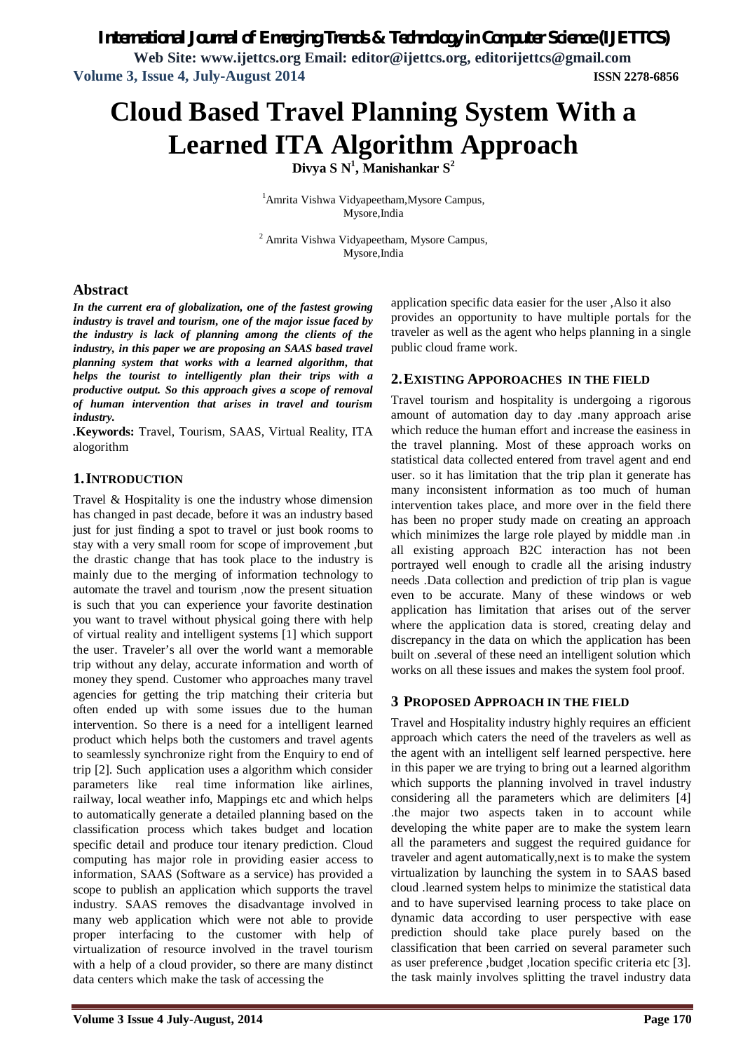*International Journal of Emerging Trends & Technology in Computer Science (IJETTCS)*

**Web Site: www.ijettcs.org Email: editor@ijettcs.org, editorijettcs@gmail.com Volume 3, Issue 4, July-August 2014 ISSN 2278-6856**

# **Cloud Based Travel Planning System With a Learned ITA Algorithm Approach**

**Divya S N<sup>1</sup> , Manishankar S<sup>2</sup>**

<sup>1</sup>Amrita Vishwa Vidyapeetham,Mysore Campus, Mysore,India

<sup>2</sup> Amrita Vishwa Vidyapeetham, Mysore Campus, Mysore,India

#### **Abstract**

*In the current era of globalization, one of the fastest growing industry is travel and tourism, one of the major issue faced by the industry is lack of planning among the clients of the industry, in this paper we are proposing an SAAS based travel planning system that works with a learned algorithm, that helps the tourist to intelligently plan their trips with a productive output. So this approach gives a scope of removal of human intervention that arises in travel and tourism industry.*

*.***Keywords:** Travel, Tourism, SAAS, Virtual Reality, ITA alogorithm

#### **1.INTRODUCTION**

Travel & Hospitality is one the industry whose dimension has changed in past decade, before it was an industry based just for just finding a spot to travel or just book rooms to stay with a very small room for scope of improvement ,but the drastic change that has took place to the industry is mainly due to the merging of information technology to automate the travel and tourism ,now the present situation is such that you can experience your favorite destination you want to travel without physical going there with help of virtual reality and intelligent systems [1] which support the user. Traveler's all over the world want a memorable trip without any delay, accurate information and worth of money they spend. Customer who approaches many travel agencies for getting the trip matching their criteria but often ended up with some issues due to the human intervention. So there is a need for a intelligent learned product which helps both the customers and travel agents to seamlessly synchronize right from the Enquiry to end of trip [2]. Such application uses a algorithm which consider parameters like real time information like airlines, railway, local weather info, Mappings etc and which helps to automatically generate a detailed planning based on the classification process which takes budget and location specific detail and produce tour itenary prediction. Cloud computing has major role in providing easier access to information, SAAS (Software as a service) has provided a scope to publish an application which supports the travel industry. SAAS removes the disadvantage involved in many web application which were not able to provide proper interfacing to the customer with help of virtualization of resource involved in the travel tourism with a help of a cloud provider, so there are many distinct data centers which make the task of accessing the

application specific data easier for the user ,Also it also provides an opportunity to have multiple portals for the traveler as well as the agent who helps planning in a single public cloud frame work.

#### **2.EXISTING APPOROACHES IN THE FIELD**

Travel tourism and hospitality is undergoing a rigorous amount of automation day to day .many approach arise which reduce the human effort and increase the easiness in the travel planning. Most of these approach works on statistical data collected entered from travel agent and end user. so it has limitation that the trip plan it generate has many inconsistent information as too much of human intervention takes place, and more over in the field there has been no proper study made on creating an approach which minimizes the large role played by middle man .in all existing approach B2C interaction has not been portrayed well enough to cradle all the arising industry needs .Data collection and prediction of trip plan is vague even to be accurate. Many of these windows or web application has limitation that arises out of the server where the application data is stored, creating delay and discrepancy in the data on which the application has been built on .several of these need an intelligent solution which works on all these issues and makes the system fool proof.

### **3 PROPOSED APPROACH IN THE FIELD**

Travel and Hospitality industry highly requires an efficient approach which caters the need of the travelers as well as the agent with an intelligent self learned perspective. here in this paper we are trying to bring out a learned algorithm which supports the planning involved in travel industry considering all the parameters which are delimiters [4] .the major two aspects taken in to account while developing the white paper are to make the system learn all the parameters and suggest the required guidance for traveler and agent automatically,next is to make the system virtualization by launching the system in to SAAS based cloud .learned system helps to minimize the statistical data and to have supervised learning process to take place on dynamic data according to user perspective with ease prediction should take place purely based on the classification that been carried on several parameter such as user preference ,budget ,location specific criteria etc [3]. the task mainly involves splitting the travel industry data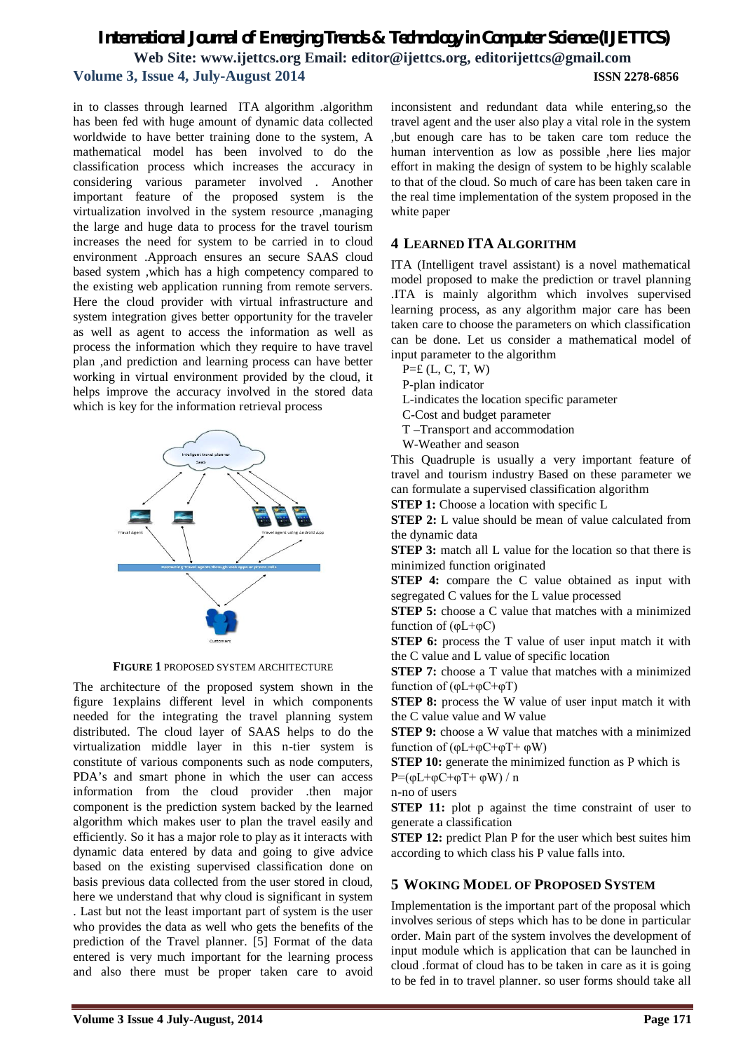# *International Journal of Emerging Trends & Technology in Computer Science (IJETTCS)* **Web Site: www.ijettcs.org Email: editor@ijettcs.org, editorijettcs@gmail.com Volume 3, Issue 4, July-August 2014 ISSN 2278-6856**

in to classes through learned ITA algorithm .algorithm has been fed with huge amount of dynamic data collected worldwide to have better training done to the system, A mathematical model has been involved to do the classification process which increases the accuracy in considering various parameter involved . Another important feature of the proposed system is the virtualization involved in the system resource ,managing the large and huge data to process for the travel tourism increases the need for system to be carried in to cloud environment .Approach ensures an secure SAAS cloud based system ,which has a high competency compared to the existing web application running from remote servers. Here the cloud provider with virtual infrastructure and system integration gives better opportunity for the traveler as well as agent to access the information as well as process the information which they require to have travel plan ,and prediction and learning process can have better working in virtual environment provided by the cloud, it helps improve the accuracy involved in the stored data which is key for the information retrieval process



**FIGURE 1** PROPOSED SYSTEM ARCHITECTURE

The architecture of the proposed system shown in the figure 1explains different level in which components needed for the integrating the travel planning system distributed. The cloud layer of SAAS helps to do the virtualization middle layer in this n-tier system is constitute of various components such as node computers, PDA's and smart phone in which the user can access information from the cloud provider .then major component is the prediction system backed by the learned algorithm which makes user to plan the travel easily and efficiently. So it has a major role to play as it interacts with dynamic data entered by data and going to give advice based on the existing supervised classification done on basis previous data collected from the user stored in cloud, here we understand that why cloud is significant in system . Last but not the least important part of system is the user who provides the data as well who gets the benefits of the prediction of the Travel planner. [5] Format of the data entered is very much important for the learning process and also there must be proper taken care to avoid

inconsistent and redundant data while entering,so the travel agent and the user also play a vital role in the system ,but enough care has to be taken care tom reduce the human intervention as low as possible ,here lies major effort in making the design of system to be highly scalable to that of the cloud. So much of care has been taken care in the real time implementation of the system proposed in the white paper

### **4 LEARNED ITA ALGORITHM**

ITA (Intelligent travel assistant) is a novel mathematical model proposed to make the prediction or travel planning .ITA is mainly algorithm which involves supervised learning process, as any algorithm major care has been taken care to choose the parameters on which classification can be done. Let us consider a mathematical model of input parameter to the algorithm

- $P = E$  (L, C, T, W)
- P-plan indicator
- L-indicates the location specific parameter
- C-Cost and budget parameter
- T –Transport and accommodation
- W-Weather and season

This Quadruple is usually a very important feature of travel and tourism industry Based on these parameter we can formulate a supervised classification algorithm

**STEP 1:** Choose a location with specific L

**STEP 2:** L value should be mean of value calculated from the dynamic data

**STEP 3:** match all L value for the location so that there is minimized function originated

**STEP 4:** compare the C value obtained as input with segregated C values for the L value processed

**STEP 5:** choose a C value that matches with a minimized function of  $(\varphi L + \varphi C)$ 

**STEP 6:** process the T value of user input match it with the C value and L value of specific location

**STEP 7:** choose a T value that matches with a minimized function of  $(\varphi L + \varphi C + \varphi T)$ 

**STEP 8:** process the W value of user input match it with the C value value and W value

**STEP 9:** choose a W value that matches with a minimized function of  $(\phi L + \phi C + \phi T + \phi W)$ 

**STEP 10:** generate the minimized function as P which is

P=( $φL+φC+φT+ φW$ ) / n n-no of users

**STEP 11:** plot p against the time constraint of user to generate a classification

**STEP 12:** predict Plan P for the user which best suites him according to which class his P value falls into.

### **5 WOKING MODEL OF PROPOSED SYSTEM**

Implementation is the important part of the proposal which involves serious of steps which has to be done in particular order. Main part of the system involves the development of input module which is application that can be launched in cloud .format of cloud has to be taken in care as it is going to be fed in to travel planner. so user forms should take all